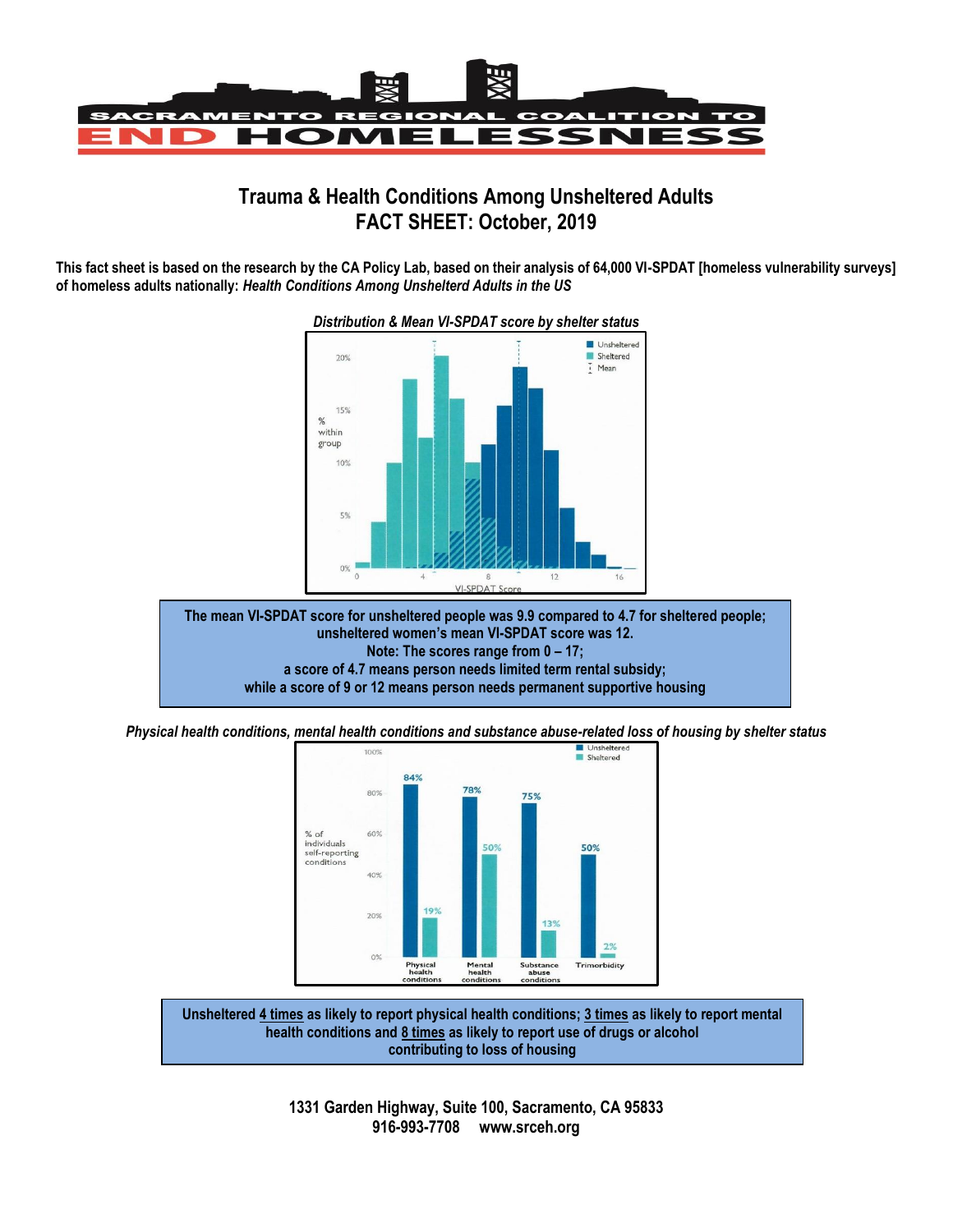

## **Trauma & Health Conditions Among Unsheltered Adults FACT SHEET: October, 2019**

**This fact sheet is based on the research by the CA Policy Lab, based on their analysis of 64,000 VI-SPDAT [homeless vulnerability surveys] of homeless adults nationally:** *Health Conditions Among Unshelterd Adults in the US*



## *Distribution & Mean VI-SPDAT score by shelter status*

**The mean VI-SPDAT score for unsheltered people was 9.9 compared to 4.7 for sheltered people; unsheltered women's mean VI-SPDAT score was 12. Note: The scores range from 0 – 17; a score of 4.7 means person needs limited term rental subsidy; while a score of 9 or 12 means person needs permanent supportive housing**

*Physical health conditions, mental health conditions and substance abuse-related loss of housing by shelter status*<br>**Examplement and Status** 



**Unsheltered 4 times as likely to report physical health conditions; 3 times as likely to report mental health conditions and 8 times as likely to report use of drugs or alcohol contributing to loss of housing**

> **1331 Garden Highway, Suite 100, Sacramento, CA 95833 916-993-7708 www.srceh.org**